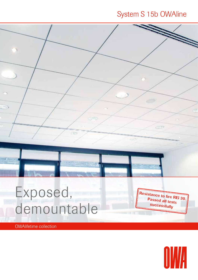## System S 15b OWAline



**OWAlifetime collection** 

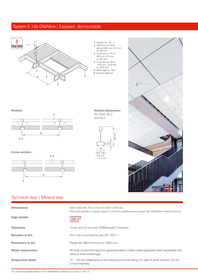### System S 15b OWAline | Exposed, demountable



- 1 Hanger no. 12/.../... 2 Main tee no. 3500, slots at 600 mm, 610 mm
- or 625 mm 3 Cross tee no. 3512, 600 mm, 610 mm
- or 625 mm 4 Cross tee no. 3514, 1200 mm, 1220 mm
- or 1250 mm 5 Wall angle no. 50G
- **6** Module distance





No. 3500, 3512 and 3514

Section dimension:





#### Cross-section:



| <b>Dimensions</b>         | 600 x 600 mm, 610 x 610 mm, 625 x 625 mm<br>Other sizes available on request. Subject to minimum quantities and surcharges. See OWAlifetime collection price list. |  |  |  |  |
|---------------------------|--------------------------------------------------------------------------------------------------------------------------------------------------------------------|--|--|--|--|
| <b>Edge details</b>       | 15b                                                                                                                                                                |  |  |  |  |
| <b>Thickness</b>          | 15 mm and 20 mm nom. (OWAcoustic® premium)                                                                                                                         |  |  |  |  |
| <b>Reaction to fire</b>   | A2-s1,d0 in accrodance with EN 13501-1                                                                                                                             |  |  |  |  |
| <b>Resistance to fire</b> | Please see OWA brochure no. 9500 eu/e                                                                                                                              |  |  |  |  |
| <b>Metal suspensions</b>  | All metal components listed are galvanized steel or white coated galvanized steel respectively with<br>black or white shadow gap.                                  |  |  |  |  |
| <b>Suspension depth</b>   | 75 – 100 mm (depending on the existing structural ceiling) for ease of panel removal 120 mm<br>is recommended                                                      |  |  |  |  |

# Technical data | Mineral tiles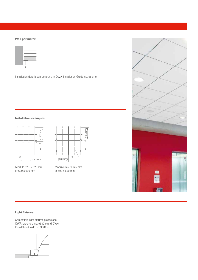#### Wall perimeter:

 $S_{\rm 15}$  ,  $S_{\rm 15}$  ,  $S_{\rm 15}$  ,  $S_{\rm 15}$  ,  $S_{\rm 15}$  ,  $S_{\rm 15}$  ,  $S_{\rm 15}$ 



Installation details can be found in OWA-Installation Guide no. 9801 e.

#### Installation examples:



Module 625 x 625 mm or 600 x 600 mm



Module 625 x 625 mm or 600 x 600 mm



#### Light fixtures:

Compatible light fixtures please see OWA-brochure no. 9630 e and OWA-Installation Guide no. 9801 e.